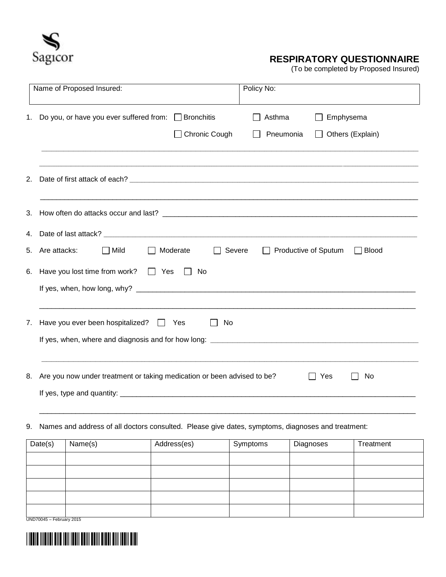

## **RESPIRATORY QUESTIONNAIRE**

(To be completed by Proposed Insured)

|    | Name of Proposed Insured:<br>Policy No:                                                                                                          |  |  |  |  |  |
|----|--------------------------------------------------------------------------------------------------------------------------------------------------|--|--|--|--|--|
| 1. | Do you, or have you ever suffered from: $\Box$ Bronchitis<br>Asthma<br>Emphysema<br>$\Box$ Chronic Cough<br>Pneumonia<br>$\Box$ Others (Explain) |  |  |  |  |  |
| 2. |                                                                                                                                                  |  |  |  |  |  |
| 3. |                                                                                                                                                  |  |  |  |  |  |
| 4. |                                                                                                                                                  |  |  |  |  |  |
| 5. | Are attacks:<br>$\Box$ Mild<br>$\Box$ Severe<br>$\Box$ Productive of Sputum<br>$\Box$ Blood<br>    Moderate                                      |  |  |  |  |  |
| 6. | Have you lost time from work? $\Box$ Yes<br>No<br>$\Box$                                                                                         |  |  |  |  |  |
| 7. | Have you ever been hospitalized? $\Box$ Yes<br>No                                                                                                |  |  |  |  |  |
| 8. | Are you now under treatment or taking medication or been advised to be?<br>$\Box$ Yes<br>No                                                      |  |  |  |  |  |
|    |                                                                                                                                                  |  |  |  |  |  |

9. Names and address of all doctors consulted. Please give dates, symptoms, diagnoses and treatment:

| Date(s)  | Name(s) | Address(es) | Symptoms | Diagnoses | Treatment |
|----------|---------|-------------|----------|-----------|-----------|
|          |         |             |          |           |           |
|          |         |             |          |           |           |
|          |         |             |          |           |           |
|          |         |             |          |           |           |
| $\cdots$ |         |             |          |           |           |

UND70045 – February 2015